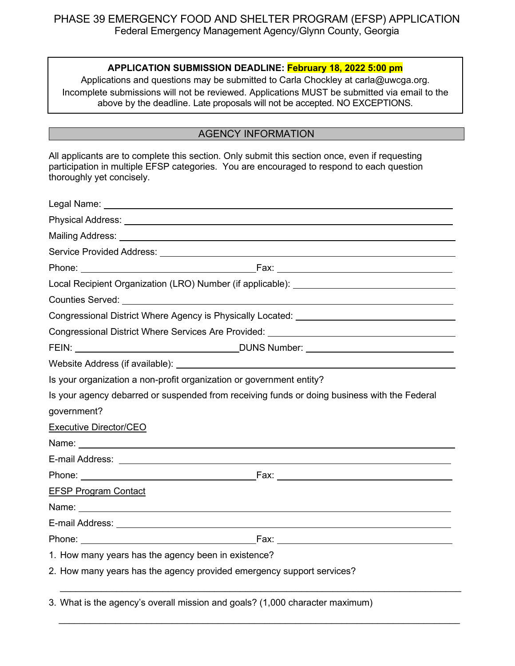### **APPLICATION SUBMISSION DEADLINE: February 18, 2022 5:00 pm**

Applications and questions may be submitted to Carla Chockley at carla@uwcga.org. Incomplete submissions will not be reviewed. Applications MUST be submitted via email to the above by the deadline. Late proposals will not be accepted. NO EXCEPTIONS.

### AGENCY INFORMATION

All applicants are to complete this section. Only submit this section once, even if requesting participation in multiple EFSP categories. You are encouraged to respond to each question thoroughly yet concisely.

|                                                                       | Local Recipient Organization (LRO) Number (if applicable): ______________________                                                                                                                                              |
|-----------------------------------------------------------------------|--------------------------------------------------------------------------------------------------------------------------------------------------------------------------------------------------------------------------------|
|                                                                       |                                                                                                                                                                                                                                |
|                                                                       | Congressional District Where Agency is Physically Located: ______________________                                                                                                                                              |
|                                                                       | Congressional District Where Services Are Provided: ____________________________                                                                                                                                               |
|                                                                       |                                                                                                                                                                                                                                |
|                                                                       |                                                                                                                                                                                                                                |
| Is your organization a non-profit organization or government entity?  |                                                                                                                                                                                                                                |
|                                                                       | Is your agency debarred or suspended from receiving funds or doing business with the Federal                                                                                                                                   |
| government?                                                           |                                                                                                                                                                                                                                |
| <b>Executive Director/CEO</b>                                         |                                                                                                                                                                                                                                |
|                                                                       |                                                                                                                                                                                                                                |
|                                                                       |                                                                                                                                                                                                                                |
|                                                                       | Phone: Executive Executive Contract Contract Contract Contract Contract Contract Contract Contract Contract Contract Contract Contract Contract Contract Contract Contract Contract Contract Contract Contract Contract Contra |
| <b>EFSP Program Contact</b>                                           |                                                                                                                                                                                                                                |
|                                                                       |                                                                                                                                                                                                                                |
|                                                                       |                                                                                                                                                                                                                                |
|                                                                       |                                                                                                                                                                                                                                |
| 1. How many years has the agency been in existence?                   |                                                                                                                                                                                                                                |
| 2. How many years has the agency provided emergency support services? |                                                                                                                                                                                                                                |

3. What is the agency's overall mission and goals? (1,000 character maximum)

 $\_$  , and the set of the set of the set of the set of the set of the set of the set of the set of the set of the set of the set of the set of the set of the set of the set of the set of the set of the set of the set of th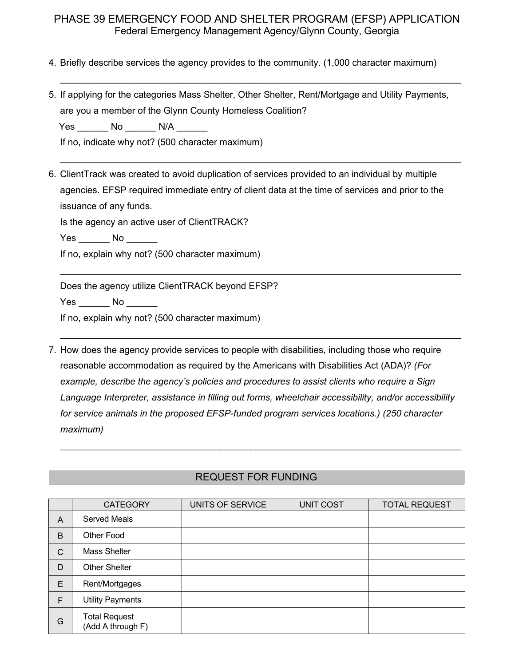$\_$  , and the set of the set of the set of the set of the set of the set of the set of the set of the set of the set of the set of the set of the set of the set of the set of the set of the set of the set of the set of th

 $\_$  , and the set of the set of the set of the set of the set of the set of the set of the set of the set of the set of the set of the set of the set of the set of the set of the set of the set of the set of the set of th

\_\_\_\_\_\_\_\_\_\_\_\_\_\_\_\_\_\_\_\_\_\_\_\_\_\_\_\_\_\_\_\_\_\_\_\_\_\_\_\_\_\_\_\_\_\_\_\_\_\_\_\_\_\_\_\_\_\_\_\_\_\_\_\_\_\_\_\_\_\_\_\_\_\_\_\_\_\_

 $\_$  , and the set of the set of the set of the set of the set of the set of the set of the set of the set of the set of the set of the set of the set of the set of the set of the set of the set of the set of the set of th

- 4. Briefly describe services the agency provides to the community. (1,000 character maximum)
- 5. If applying for the categories Mass Shelter, Other Shelter, Rent/Mortgage and Utility Payments, are you a member of the Glynn County Homeless Coalition?

Yes \_\_\_\_\_\_\_ No \_\_\_\_\_\_\_ N/A \_\_\_\_\_\_

If no, indicate why not? (500 character maximum)

6. ClientTrack was created to avoid duplication of services provided to an individual by multiple agencies. EFSP required immediate entry of client data at the time of services and prior to the issuance of any funds.

Is the agency an active user of ClientTRACK?

Yes No No

If no, explain why not? (500 character maximum)

Does the agency utilize ClientTRACK beyond EFSP?

Yes No  $\blacksquare$ 

If no, explain why not? (500 character maximum)

7. How does the agency provide services to people with disabilities, including those who require reasonable accommodation as required by the Americans with Disabilities Act (ADA)? *(For example, describe the agency's policies and procedures to assist clients who require a Sign Language Interpreter, assistance in filling out forms, wheelchair accessibility, and/or accessibility for service animals in the proposed EFSP-funded program services locations.) (250 character maximum)*

### REQUEST FOR FUNDING

 $\_$  , and the set of the set of the set of the set of the set of the set of the set of the set of the set of the set of the set of the set of the set of the set of the set of the set of the set of the set of the set of th

|              | <b>CATEGORY</b>                           | UNITS OF SERVICE | <b>UNIT COST</b> | <b>TOTAL REQUEST</b> |
|--------------|-------------------------------------------|------------------|------------------|----------------------|
| A            | <b>Served Meals</b>                       |                  |                  |                      |
| B            | Other Food                                |                  |                  |                      |
| $\mathsf{C}$ | Mass Shelter                              |                  |                  |                      |
| D            | <b>Other Shelter</b>                      |                  |                  |                      |
| E            | Rent/Mortgages                            |                  |                  |                      |
| F            | <b>Utility Payments</b>                   |                  |                  |                      |
| G            | <b>Total Request</b><br>(Add A through F) |                  |                  |                      |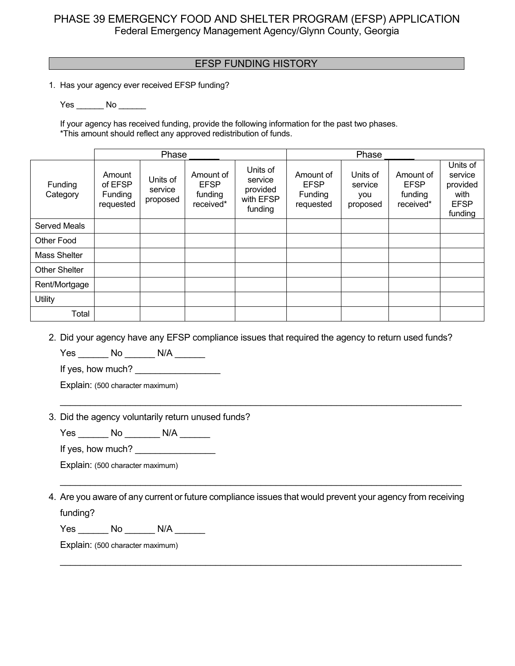### EFSP FUNDING HISTORY AND THE RESERVE THE RESERVE THE RESERVE THAT AN INCOME.

1. Has your agency ever received EFSP funding?

Yes No No

If your agency has received funding, provide the following information for the past two phases. \*This amount should reflect any approved redistribution of funds.

|                      |                                                  | Phase                           |                                                  |                                                         |                                                  | Phase                                  |                                                  |                                                                   |
|----------------------|--------------------------------------------------|---------------------------------|--------------------------------------------------|---------------------------------------------------------|--------------------------------------------------|----------------------------------------|--------------------------------------------------|-------------------------------------------------------------------|
| Funding<br>Category  | Amount<br>of EFSP<br><b>Funding</b><br>requested | Units of<br>service<br>proposed | Amount of<br><b>EFSP</b><br>funding<br>received* | Units of<br>service<br>provided<br>with EFSP<br>funding | Amount of<br><b>EFSP</b><br>Funding<br>requested | Units of<br>service<br>you<br>proposed | Amount of<br><b>EFSP</b><br>funding<br>received* | Units of<br>service<br>provided<br>with<br><b>EFSP</b><br>funding |
| <b>Served Meals</b>  |                                                  |                                 |                                                  |                                                         |                                                  |                                        |                                                  |                                                                   |
| <b>Other Food</b>    |                                                  |                                 |                                                  |                                                         |                                                  |                                        |                                                  |                                                                   |
| Mass Shelter         |                                                  |                                 |                                                  |                                                         |                                                  |                                        |                                                  |                                                                   |
| <b>Other Shelter</b> |                                                  |                                 |                                                  |                                                         |                                                  |                                        |                                                  |                                                                   |
| Rent/Mortgage        |                                                  |                                 |                                                  |                                                         |                                                  |                                        |                                                  |                                                                   |
| Utility              |                                                  |                                 |                                                  |                                                         |                                                  |                                        |                                                  |                                                                   |
| Total                |                                                  |                                 |                                                  |                                                         |                                                  |                                        |                                                  |                                                                   |

2. Did your agency have any EFSP compliance issues that required the agency to return used funds?

\_\_\_\_\_\_\_\_\_\_\_\_\_\_\_\_\_\_\_\_\_\_\_\_\_\_\_\_\_\_\_\_\_\_\_\_\_\_\_\_\_\_\_\_\_\_\_\_\_\_\_\_\_\_\_\_\_\_\_\_\_\_\_\_\_\_\_\_\_\_\_\_\_\_\_\_\_\_\_\_

Yes \_\_\_\_\_ No \_\_\_\_\_\_\_ N/A \_\_\_\_\_\_

If yes, how much? \_\_\_\_\_\_\_\_\_\_\_\_\_\_\_\_\_

Explain: (500 character maximum)

#### 3. Did the agency voluntarily return unused funds?

Yes \_\_\_\_\_\_\_ No \_\_\_\_\_\_\_ N/A \_\_\_\_\_\_

If yes, how much?

Explain: (500 character maximum)

4. Are you aware of any current or future compliance issues that would prevent your agency from receiving funding?

\_\_\_\_\_\_\_\_\_\_\_\_\_\_\_\_\_\_\_\_\_\_\_\_\_\_\_\_\_\_\_\_\_\_\_\_\_\_\_\_\_\_\_\_\_\_\_\_\_\_\_\_\_\_\_\_\_\_\_\_\_\_\_\_\_\_\_\_\_\_\_\_\_\_\_\_\_\_\_\_

\_\_\_\_\_\_\_\_\_\_\_\_\_\_\_\_\_\_\_\_\_\_\_\_\_\_\_\_\_\_\_\_\_\_\_\_\_\_\_\_\_\_\_\_\_\_\_\_\_\_\_\_\_\_\_\_\_\_\_\_\_\_\_\_\_\_\_\_\_\_\_\_\_\_\_\_\_\_\_\_

Yes \_\_\_\_\_\_\_ No \_\_\_\_\_\_\_ N/A \_\_\_\_\_\_\_

Explain: (500 character maximum)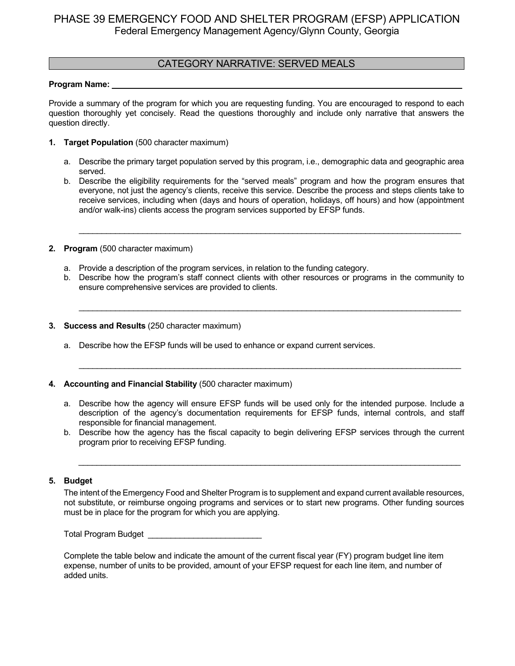### CATEGORY NARRATIVE: SERVED MEALS

#### Program Name:

Provide a summary of the program for which you are requesting funding. You are encouraged to respond to each question thoroughly yet concisely. Read the questions thoroughly and include only narrative that answers the question directly.

- **1. Target Population** (500 character maximum)
	- a. Describe the primary target population served by this program, i.e., demographic data and geographic area served.
	- b. Describe the eligibility requirements for the "served meals" program and how the program ensures that everyone, not just the agency's clients, receive this service. Describe the process and steps clients take to receive services, including when (days and hours of operation, holidays, off hours) and how (appointment and/or walk-ins) clients access the program services supported by EFSP funds.

\_\_\_\_\_\_\_\_\_\_\_\_\_\_\_\_\_\_\_\_\_\_\_\_\_\_\_\_\_\_\_\_\_\_\_\_\_\_\_\_\_\_\_\_\_\_\_\_\_\_\_\_\_\_\_\_\_\_\_\_\_\_\_\_\_\_\_\_\_\_\_\_\_\_\_\_\_\_\_\_\_\_\_\_

- **2. Program** (500 character maximum)
	- a. Provide a description of the program services, in relation to the funding category.
	- b. Describe how the program's staff connect clients with other resources or programs in the community to ensure comprehensive services are provided to clients.

\_\_\_\_\_\_\_\_\_\_\_\_\_\_\_\_\_\_\_\_\_\_\_\_\_\_\_\_\_\_\_\_\_\_\_\_\_\_\_\_\_\_\_\_\_\_\_\_\_\_\_\_\_\_\_\_\_\_\_\_\_\_\_\_\_\_\_\_\_\_\_\_\_\_\_\_\_\_\_\_\_\_\_\_

\_\_\_\_\_\_\_\_\_\_\_\_\_\_\_\_\_\_\_\_\_\_\_\_\_\_\_\_\_\_\_\_\_\_\_\_\_\_\_\_\_\_\_\_\_\_\_\_\_\_\_\_\_\_\_\_\_\_\_\_\_\_\_\_\_\_\_\_\_\_\_\_\_\_\_\_\_\_\_\_\_\_\_\_

- **3. Success and Results** (250 character maximum)
	- a. Describe how the EFSP funds will be used to enhance or expand current services.
- **4. Accounting and Financial Stability** (500 character maximum)
	- a. Describe how the agency will ensure EFSP funds will be used only for the intended purpose. Include a description of the agency's documentation requirements for EFSP funds, internal controls, and staff responsible for financial management.
	- b. Describe how the agency has the fiscal capacity to begin delivering EFSP services through the current program prior to receiving EFSP funding.

*\_\_\_\_\_\_\_\_\_\_\_\_\_\_\_\_\_\_\_\_\_\_\_\_\_\_\_\_\_\_\_\_\_\_\_\_\_\_\_\_\_\_\_\_\_\_\_\_\_\_\_\_\_\_\_\_\_\_\_\_\_\_\_\_\_\_\_\_\_\_\_\_\_\_\_\_\_\_\_\_\_\_\_\_*

#### **5. Budget**

The intent of the Emergency Food and Shelter Program is to supplement and expand current available resources, not substitute, or reimburse ongoing programs and services or to start new programs. Other funding sources must be in place for the program for which you are applying.

Total Program Budget \_\_\_\_\_\_\_\_\_\_\_\_\_\_\_\_\_\_\_\_\_\_\_\_\_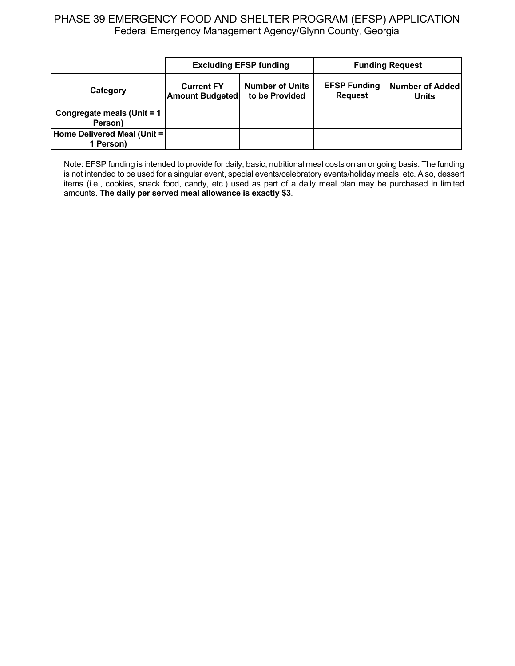|                                          |                                                                                         | <b>Excluding EFSP funding</b> | <b>Funding Request</b>                |                                 |
|------------------------------------------|-----------------------------------------------------------------------------------------|-------------------------------|---------------------------------------|---------------------------------|
| Category                                 | <b>Number of Units</b><br><b>Current FY</b><br>to be Provided<br><b>Amount Budgeted</b> |                               | <b>EFSP Funding</b><br><b>Request</b> | <b>Number of Added</b><br>Units |
| Congregate meals (Unit = 1<br>Person)    |                                                                                         |                               |                                       |                                 |
| Home Delivered Meal (Unit =<br>1 Person) |                                                                                         |                               |                                       |                                 |

Note: EFSP funding is intended to provide for daily, basic, nutritional meal costs on an ongoing basis. The funding is not intended to be used for a singular event, special events/celebratory events/holiday meals, etc. Also, dessert items (i.e., cookies, snack food, candy, etc.) used as part of a daily meal plan may be purchased in limited amounts. **The daily per served meal allowance is exactly \$3**.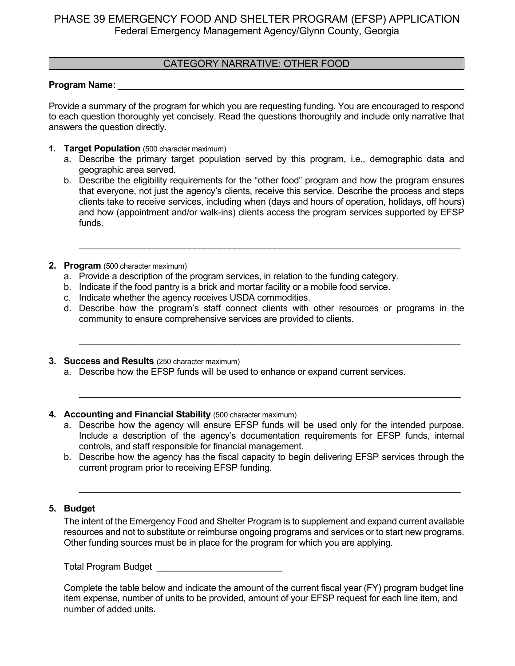### CATEGORY NARRATIVE: OTHER FOOD

#### **Program Name:**

Provide a summary of the program for which you are requesting funding. You are encouraged to respond to each question thoroughly yet concisely. Read the questions thoroughly and include only narrative that answers the question directly.

- **1. Target Population** (500 character maximum)
	- a. Describe the primary target population served by this program, i.e., demographic data and geographic area served.
	- b. Describe the eligibility requirements for the "other food" program and how the program ensures that everyone, not just the agency's clients, receive this service. Describe the process and steps clients take to receive services, including when (days and hours of operation, holidays, off hours) and how (appointment and/or walk-ins) clients access the program services supported by EFSP funds.

\_\_\_\_\_\_\_\_\_\_\_\_\_\_\_\_\_\_\_\_\_\_\_\_\_\_\_\_\_\_\_\_\_\_\_\_\_\_\_\_\_\_\_\_\_\_\_\_\_\_\_\_\_\_\_\_\_\_\_\_\_\_\_\_\_\_\_\_\_\_\_\_\_\_\_\_

- **2. Program** (500 character maximum)
	- a. Provide a description of the program services, in relation to the funding category.
	- b. Indicate if the food pantry is a brick and mortar facility or a mobile food service.
	- c. Indicate whether the agency receives USDA commodities.
	- d. Describe how the program's staff connect clients with other resources or programs in the community to ensure comprehensive services are provided to clients.

\_\_\_\_\_\_\_\_\_\_\_\_\_\_\_\_\_\_\_\_\_\_\_\_\_\_\_\_\_\_\_\_\_\_\_\_\_\_\_\_\_\_\_\_\_\_\_\_\_\_\_\_\_\_\_\_\_\_\_\_\_\_\_\_\_\_\_\_\_\_\_\_\_\_\_\_

\_\_\_\_\_\_\_\_\_\_\_\_\_\_\_\_\_\_\_\_\_\_\_\_\_\_\_\_\_\_\_\_\_\_\_\_\_\_\_\_\_\_\_\_\_\_\_\_\_\_\_\_\_\_\_\_\_\_\_\_\_\_\_\_\_\_\_\_\_\_\_\_\_\_\_\_

- **3. Success and Results** (250 character maximum)
	- a. Describe how the EFSP funds will be used to enhance or expand current services.
- **4. Accounting and Financial Stability** (500 character maximum)
	- a. Describe how the agency will ensure EFSP funds will be used only for the intended purpose. Include a description of the agency's documentation requirements for EFSP funds, internal controls, and staff responsible for financial management.
	- b. Describe how the agency has the fiscal capacity to begin delivering EFSP services through the current program prior to receiving EFSP funding.

\_\_\_\_\_\_\_\_\_\_\_\_\_\_\_\_\_\_\_\_\_\_\_\_\_\_\_\_\_\_\_\_\_\_\_\_\_\_\_\_\_\_\_\_\_\_\_\_\_\_\_\_\_\_\_\_\_\_\_\_\_\_\_\_\_\_\_\_\_\_\_\_\_\_\_\_

### **5. Budget**

The intent of the Emergency Food and Shelter Program is to supplement and expand current available resources and not to substitute or reimburse ongoing programs and services or to start new programs. Other funding sources must be in place for the program for which you are applying.

Total Program Budget **Exercise 20**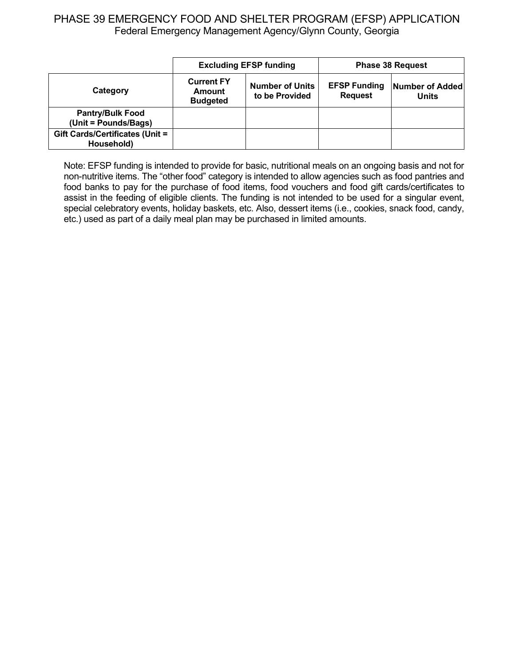|                                                 | <b>Excluding EFSP funding</b>                                                              |  | <b>Phase 38 Request</b>               |                                 |
|-------------------------------------------------|--------------------------------------------------------------------------------------------|--|---------------------------------------|---------------------------------|
| Category                                        | <b>Current FY</b><br><b>Number of Units</b><br>Amount<br>to be Provided<br><b>Budgeted</b> |  | <b>EFSP Funding</b><br><b>Request</b> | Number of Added<br><b>Units</b> |
| <b>Pantry/Bulk Food</b><br>(Unit = Pounds/Bags) |                                                                                            |  |                                       |                                 |
| Gift Cards/Certificates (Unit =<br>Household)   |                                                                                            |  |                                       |                                 |

Note: EFSP funding is intended to provide for basic, nutritional meals on an ongoing basis and not for non-nutritive items. The "other food" category is intended to allow agencies such as food pantries and food banks to pay for the purchase of food items, food vouchers and food gift cards/certificates to assist in the feeding of eligible clients. The funding is not intended to be used for a singular event, special celebratory events, holiday baskets, etc. Also, dessert items (i.e., cookies, snack food, candy, etc.) used as part of a daily meal plan may be purchased in limited amounts.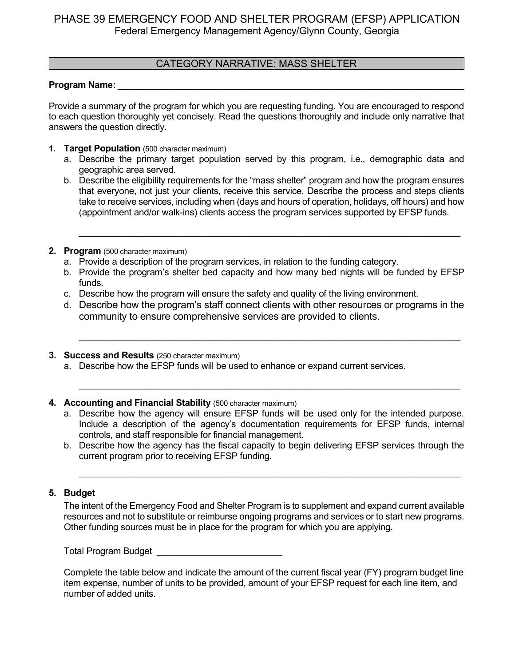### CATEGORY NARRATIVE: MASS SHELTER

#### **Program Name:**

Provide a summary of the program for which you are requesting funding. You are encouraged to respond to each question thoroughly yet concisely. Read the questions thoroughly and include only narrative that answers the question directly.

- **1. Target Population** (500 character maximum)
	- a. Describe the primary target population served by this program, i.e., demographic data and geographic area served.
	- b. Describe the eligibility requirements for the "mass shelter" program and how the program ensures that everyone, not just your clients, receive this service. Describe the process and steps clients take to receive services, including when (days and hours of operation, holidays, off hours) and how (appointment and/or walk-ins) clients access the program services supported by EFSP funds.

\_\_\_\_\_\_\_\_\_\_\_\_\_\_\_\_\_\_\_\_\_\_\_\_\_\_\_\_\_\_\_\_\_\_\_\_\_\_\_\_\_\_\_\_\_\_\_\_\_\_\_\_\_\_\_\_\_\_\_\_\_\_\_\_\_\_\_\_\_\_\_\_\_\_\_\_

- **2. Program** (500 character maximum)
	- a. Provide a description of the program services, in relation to the funding category.
	- b. Provide the program's shelter bed capacity and how many bed nights will be funded by EFSP funds.
	- c. Describe how the program will ensure the safety and quality of the living environment.
	- d. Describe how the program's staff connect clients with other resources or programs in the community to ensure comprehensive services are provided to clients.

\_\_\_\_\_\_\_\_\_\_\_\_\_\_\_\_\_\_\_\_\_\_\_\_\_\_\_\_\_\_\_\_\_\_\_\_\_\_\_\_\_\_\_\_\_\_\_\_\_\_\_\_\_\_\_\_\_\_\_\_\_\_\_\_\_\_\_\_\_\_\_\_\_\_\_\_

\_\_\_\_\_\_\_\_\_\_\_\_\_\_\_\_\_\_\_\_\_\_\_\_\_\_\_\_\_\_\_\_\_\_\_\_\_\_\_\_\_\_\_\_\_\_\_\_\_\_\_\_\_\_\_\_\_\_\_\_\_\_\_\_\_\_\_\_\_\_\_\_\_\_\_\_

- **3. Success and Results** (250 character maximum)
	- a. Describe how the EFSP funds will be used to enhance or expand current services.
- **4. Accounting and Financial Stability** (500 character maximum)
	- a. Describe how the agency will ensure EFSP funds will be used only for the intended purpose. Include a description of the agency's documentation requirements for EFSP funds, internal controls, and staff responsible for financial management.
	- b. Describe how the agency has the fiscal capacity to begin delivering EFSP services through the current program prior to receiving EFSP funding.

\_\_\_\_\_\_\_\_\_\_\_\_\_\_\_\_\_\_\_\_\_\_\_\_\_\_\_\_\_\_\_\_\_\_\_\_\_\_\_\_\_\_\_\_\_\_\_\_\_\_\_\_\_\_\_\_\_\_\_\_\_\_\_\_\_\_\_\_\_\_\_\_\_\_\_\_

### **5. Budget**

The intent of the Emergency Food and Shelter Program is to supplement and expand current available resources and not to substitute or reimburse ongoing programs and services or to start new programs. Other funding sources must be in place for the program for which you are applying.

Total Program Budget **Exercise 20**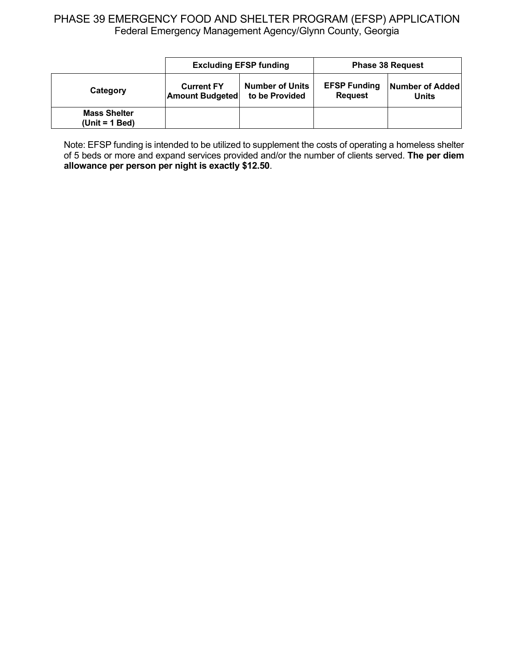|                                         | <b>Excluding EFSP funding</b>                                                           |  | <b>Phase 38 Request</b>               |                          |
|-----------------------------------------|-----------------------------------------------------------------------------------------|--|---------------------------------------|--------------------------|
| Category                                | <b>Number of Units</b><br><b>Current FY</b><br>to be Provided<br><b>Amount Budgeted</b> |  | <b>EFSP Funding</b><br><b>Request</b> | Number of Added<br>Units |
| <b>Mass Shelter</b><br>$(Unit = 1 Bed)$ |                                                                                         |  |                                       |                          |

Note: EFSP funding is intended to be utilized to supplement the costs of operating a homeless shelter of 5 beds or more and expand services provided and/or the number of clients served. **The per diem allowance per person per night is exactly \$12.50**.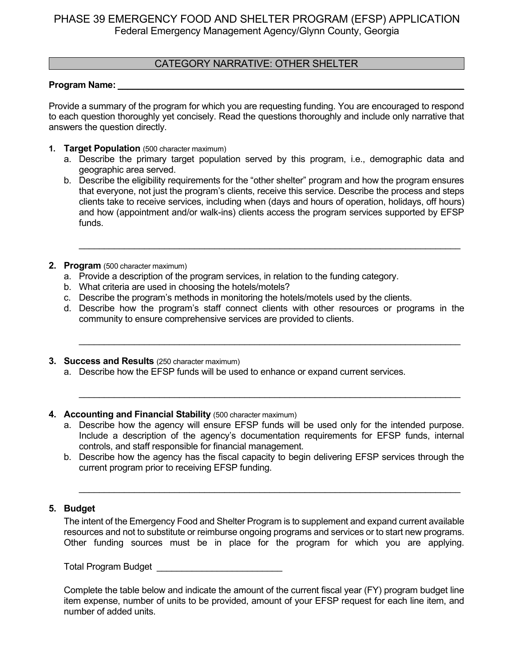### CATEGORY NARRATIVE: OTHER SHELTER

#### Program Name:

Provide a summary of the program for which you are requesting funding. You are encouraged to respond to each question thoroughly yet concisely. Read the questions thoroughly and include only narrative that answers the question directly.

- **1. Target Population** (500 character maximum)
	- a. Describe the primary target population served by this program, i.e., demographic data and geographic area served.
	- b. Describe the eligibility requirements for the "other shelter" program and how the program ensures that everyone, not just the program's clients, receive this service. Describe the process and steps clients take to receive services, including when (days and hours of operation, holidays, off hours) and how (appointment and/or walk-ins) clients access the program services supported by EFSP funds.

\_\_\_\_\_\_\_\_\_\_\_\_\_\_\_\_\_\_\_\_\_\_\_\_\_\_\_\_\_\_\_\_\_\_\_\_\_\_\_\_\_\_\_\_\_\_\_\_\_\_\_\_\_\_\_\_\_\_\_\_\_\_\_\_\_\_\_\_\_\_\_\_\_\_\_\_

- **2. Program** (500 character maximum)
	- a. Provide a description of the program services, in relation to the funding category.
	- b. What criteria are used in choosing the hotels/motels?
	- c. Describe the program's methods in monitoring the hotels/motels used by the clients.
	- d. Describe how the program's staff connect clients with other resources or programs in the community to ensure comprehensive services are provided to clients.

\_\_\_\_\_\_\_\_\_\_\_\_\_\_\_\_\_\_\_\_\_\_\_\_\_\_\_\_\_\_\_\_\_\_\_\_\_\_\_\_\_\_\_\_\_\_\_\_\_\_\_\_\_\_\_\_\_\_\_\_\_\_\_\_\_\_\_\_\_\_\_\_\_\_\_\_

\_\_\_\_\_\_\_\_\_\_\_\_\_\_\_\_\_\_\_\_\_\_\_\_\_\_\_\_\_\_\_\_\_\_\_\_\_\_\_\_\_\_\_\_\_\_\_\_\_\_\_\_\_\_\_\_\_\_\_\_\_\_\_\_\_\_\_\_\_\_\_\_\_\_\_\_

- **3. Success and Results** (250 character maximum)
	- a. Describe how the EFSP funds will be used to enhance or expand current services.

#### **4. Accounting and Financial Stability** (500 character maximum)

- a. Describe how the agency will ensure EFSP funds will be used only for the intended purpose. Include a description of the agency's documentation requirements for EFSP funds, internal controls, and staff responsible for financial management.
- b. Describe how the agency has the fiscal capacity to begin delivering EFSP services through the current program prior to receiving EFSP funding.

\_\_\_\_\_\_\_\_\_\_\_\_\_\_\_\_\_\_\_\_\_\_\_\_\_\_\_\_\_\_\_\_\_\_\_\_\_\_\_\_\_\_\_\_\_\_\_\_\_\_\_\_\_\_\_\_\_\_\_\_\_\_\_\_\_\_\_\_\_\_\_\_\_\_\_\_

#### **5. Budget**

The intent of the Emergency Food and Shelter Program is to supplement and expand current available resources and not to substitute or reimburse ongoing programs and services or to start new programs. Other funding sources must be in place for the program for which you are applying.

Total Program Budget **Exercise 20**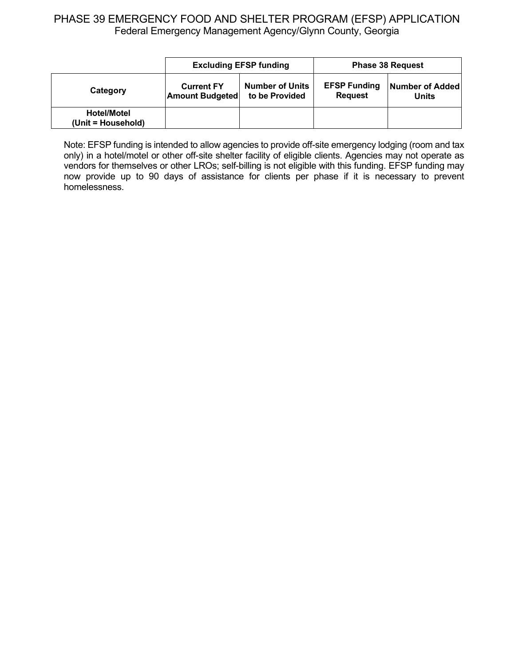|                                          | <b>Excluding EFSP funding</b>               |                                          | <b>Phase 38 Request</b>               |                          |
|------------------------------------------|---------------------------------------------|------------------------------------------|---------------------------------------|--------------------------|
| Category                                 | <b>Current FY</b><br><b>Amount Budgeted</b> | <b>Number of Units</b><br>to be Provided | <b>EFSP Funding</b><br><b>Request</b> | Number of Added<br>Units |
| <b>Hotel/Motel</b><br>(Unit = Household) |                                             |                                          |                                       |                          |

Note: EFSP funding is intended to allow agencies to provide off-site emergency lodging (room and tax only) in a hotel/motel or other off-site shelter facility of eligible clients. Agencies may not operate as vendors for themselves or other LROs; self-billing is not eligible with this funding. EFSP funding may now provide up to 90 days of assistance for clients per phase if it is necessary to prevent homelessness.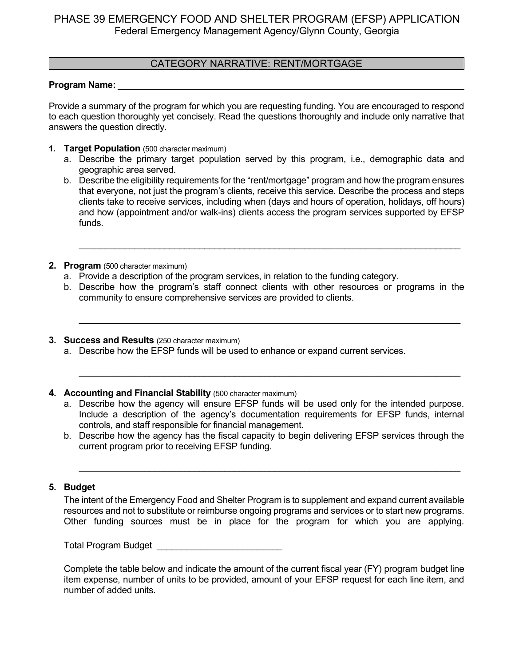### CATEGORY NARRATIVE: RENT/MORTGAGE

#### **Program Name:** \_\_\_\_\_\_\_\_\_\_\_\_\_\_\_\_\_\_\_\_\_\_\_\_\_\_\_\_\_\_\_\_\_\_\_\_\_\_\_\_\_\_\_\_\_\_\_\_\_\_\_\_\_\_\_\_\_\_\_\_\_\_\_\_\_\_\_\_\_

Provide a summary of the program for which you are requesting funding. You are encouraged to respond to each question thoroughly yet concisely. Read the questions thoroughly and include only narrative that answers the question directly.

- **1. Target Population** (500 character maximum)
	- a. Describe the primary target population served by this program, i.e., demographic data and geographic area served.
	- b. Describe the eligibility requirements for the "rent/mortgage" program and how the program ensures that everyone, not just the program's clients, receive this service. Describe the process and steps clients take to receive services, including when (days and hours of operation, holidays, off hours) and how (appointment and/or walk-ins) clients access the program services supported by EFSP funds.

\_\_\_\_\_\_\_\_\_\_\_\_\_\_\_\_\_\_\_\_\_\_\_\_\_\_\_\_\_\_\_\_\_\_\_\_\_\_\_\_\_\_\_\_\_\_\_\_\_\_\_\_\_\_\_\_\_\_\_\_\_\_\_\_\_\_\_\_\_\_\_\_\_\_\_\_

- **2. Program** (500 character maximum)
	- a. Provide a description of the program services, in relation to the funding category.
	- b. Describe how the program's staff connect clients with other resources or programs in the community to ensure comprehensive services are provided to clients.

\_\_\_\_\_\_\_\_\_\_\_\_\_\_\_\_\_\_\_\_\_\_\_\_\_\_\_\_\_\_\_\_\_\_\_\_\_\_\_\_\_\_\_\_\_\_\_\_\_\_\_\_\_\_\_\_\_\_\_\_\_\_\_\_\_\_\_\_\_\_\_\_\_\_\_\_

\_\_\_\_\_\_\_\_\_\_\_\_\_\_\_\_\_\_\_\_\_\_\_\_\_\_\_\_\_\_\_\_\_\_\_\_\_\_\_\_\_\_\_\_\_\_\_\_\_\_\_\_\_\_\_\_\_\_\_\_\_\_\_\_\_\_\_\_\_\_\_\_\_\_\_\_

- **3. Success and Results** (250 character maximum)
	- a. Describe how the EFSP funds will be used to enhance or expand current services.
- **4. Accounting and Financial Stability** (500 character maximum)
	- a. Describe how the agency will ensure EFSP funds will be used only for the intended purpose. Include a description of the agency's documentation requirements for EFSP funds, internal controls, and staff responsible for financial management.
	- b. Describe how the agency has the fiscal capacity to begin delivering EFSP services through the current program prior to receiving EFSP funding.

\_\_\_\_\_\_\_\_\_\_\_\_\_\_\_\_\_\_\_\_\_\_\_\_\_\_\_\_\_\_\_\_\_\_\_\_\_\_\_\_\_\_\_\_\_\_\_\_\_\_\_\_\_\_\_\_\_\_\_\_\_\_\_\_\_\_\_\_\_\_\_\_\_\_\_\_

### **5. Budget**

The intent of the Emergency Food and Shelter Program is to supplement and expand current available resources and not to substitute or reimburse ongoing programs and services or to start new programs. Other funding sources must be in place for the program for which you are applying.

Total Program Budget **Exercise 20**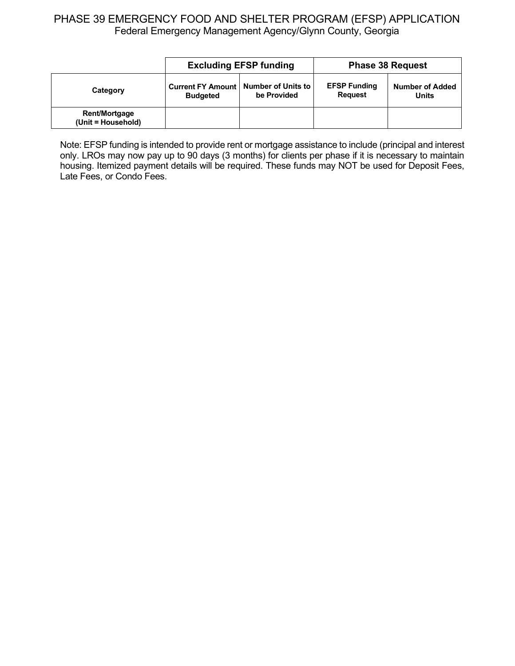|                                            | <b>Excluding EFSP funding</b>                             |             | <b>Phase 38 Request</b>               |                                        |
|--------------------------------------------|-----------------------------------------------------------|-------------|---------------------------------------|----------------------------------------|
| Category                                   | Current FY Amount   Number of Units to<br><b>Budgeted</b> | be Provided | <b>EFSP Funding</b><br><b>Request</b> | <b>Number of Added</b><br><b>Units</b> |
| <b>Rent/Mortgage</b><br>(Unit = Household) |                                                           |             |                                       |                                        |

Note: EFSP funding is intended to provide rent or mortgage assistance to include (principal and interest only. LROs may now pay up to 90 days (3 months) for clients per phase if it is necessary to maintain housing. Itemized payment details will be required. These funds may NOT be used for Deposit Fees, Late Fees, or Condo Fees.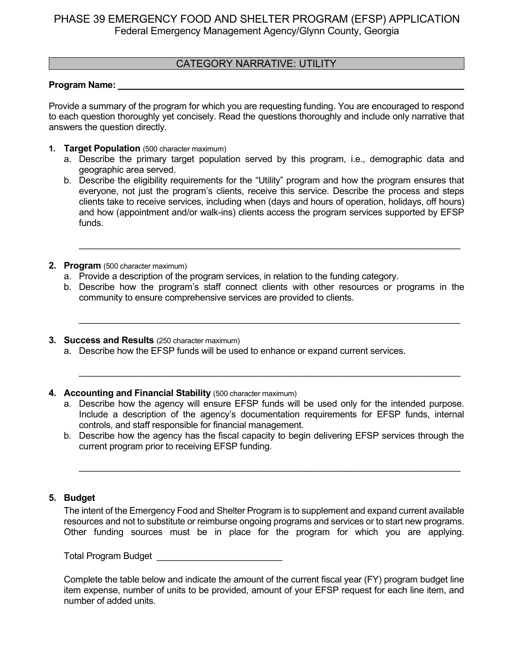### CATEGORY NARRATIVE: UTILITY

#### **Program Name:** \_\_\_\_\_\_\_\_\_\_\_\_\_\_\_\_\_\_\_\_\_\_\_\_\_\_\_\_\_\_\_\_\_\_\_\_\_\_\_\_\_\_\_\_\_\_\_\_\_\_\_\_\_\_\_\_\_\_\_\_\_\_\_\_\_\_\_\_\_

Provide a summary of the program for which you are requesting funding. You are encouraged to respond to each question thoroughly yet concisely. Read the questions thoroughly and include only narrative that answers the question directly.

- **1. Target Population** (500 character maximum)
	- a. Describe the primary target population served by this program, i.e., demographic data and geographic area served.
	- b. Describe the eligibility requirements for the "Utility" program and how the program ensures that everyone, not just the program's clients, receive this service. Describe the process and steps clients take to receive services, including when (days and hours of operation, holidays, off hours) and how (appointment and/or walk-ins) clients access the program services supported by EFSP funds.

\_\_\_\_\_\_\_\_\_\_\_\_\_\_\_\_\_\_\_\_\_\_\_\_\_\_\_\_\_\_\_\_\_\_\_\_\_\_\_\_\_\_\_\_\_\_\_\_\_\_\_\_\_\_\_\_\_\_\_\_\_\_\_\_\_\_\_\_\_\_\_\_\_\_\_\_

- **2. Program** (500 character maximum)
	- a. Provide a description of the program services, in relation to the funding category.
	- b. Describe how the program's staff connect clients with other resources or programs in the community to ensure comprehensive services are provided to clients.

\_\_\_\_\_\_\_\_\_\_\_\_\_\_\_\_\_\_\_\_\_\_\_\_\_\_\_\_\_\_\_\_\_\_\_\_\_\_\_\_\_\_\_\_\_\_\_\_\_\_\_\_\_\_\_\_\_\_\_\_\_\_\_\_\_\_\_\_\_\_\_\_\_\_\_\_

\_\_\_\_\_\_\_\_\_\_\_\_\_\_\_\_\_\_\_\_\_\_\_\_\_\_\_\_\_\_\_\_\_\_\_\_\_\_\_\_\_\_\_\_\_\_\_\_\_\_\_\_\_\_\_\_\_\_\_\_\_\_\_\_\_\_\_\_\_\_\_\_\_\_\_\_

- **3. Success and Results** (250 character maximum)
	- a. Describe how the EFSP funds will be used to enhance or expand current services.
- **4. Accounting and Financial Stability** (500 character maximum)
	- a. Describe how the agency will ensure EFSP funds will be used only for the intended purpose. Include a description of the agency's documentation requirements for EFSP funds, internal controls, and staff responsible for financial management.
	- b. Describe how the agency has the fiscal capacity to begin delivering EFSP services through the current program prior to receiving EFSP funding.

\_\_\_\_\_\_\_\_\_\_\_\_\_\_\_\_\_\_\_\_\_\_\_\_\_\_\_\_\_\_\_\_\_\_\_\_\_\_\_\_\_\_\_\_\_\_\_\_\_\_\_\_\_\_\_\_\_\_\_\_\_\_\_\_\_\_\_\_\_\_\_\_\_\_\_\_

### **5. Budget**

The intent of the Emergency Food and Shelter Program is to supplement and expand current available resources and not to substitute or reimburse ongoing programs and services or to start new programs. Other funding sources must be in place for the program for which you are applying.

Total Program Budget **Example 20**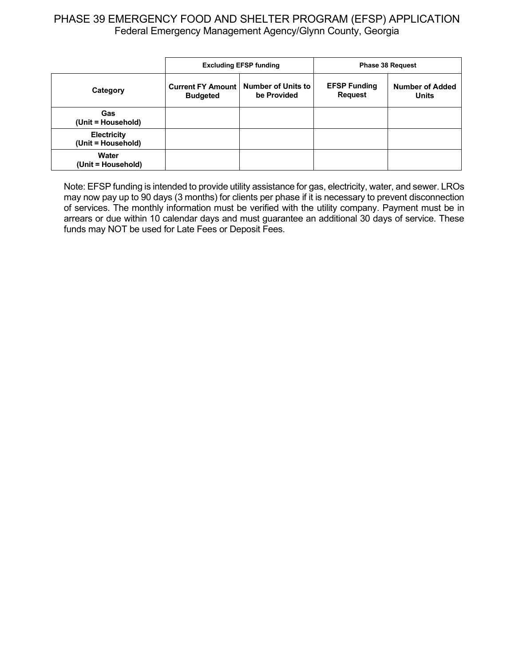|                                          | <b>Excluding EFSP funding</b>                                                           |  |                                       | <b>Phase 38 Request</b>                |
|------------------------------------------|-----------------------------------------------------------------------------------------|--|---------------------------------------|----------------------------------------|
| Category                                 | <b>Number of Units to</b><br><b>Current FY Amount</b><br>be Provided<br><b>Budgeted</b> |  | <b>EFSP Funding</b><br><b>Request</b> | <b>Number of Added</b><br><b>Units</b> |
| Gas<br>(Unit = Household)                |                                                                                         |  |                                       |                                        |
| <b>Electricity</b><br>(Unit = Household) |                                                                                         |  |                                       |                                        |
| Water<br>(Unit = Household)              |                                                                                         |  |                                       |                                        |

Note: EFSP funding is intended to provide utility assistance for gas, electricity, water, and sewer. LROs may now pay up to 90 days (3 months) for clients per phase if it is necessary to prevent disconnection of services. The monthly information must be verified with the utility company. Payment must be in arrears or due within 10 calendar days and must guarantee an additional 30 days of service. These funds may NOT be used for Late Fees or Deposit Fees.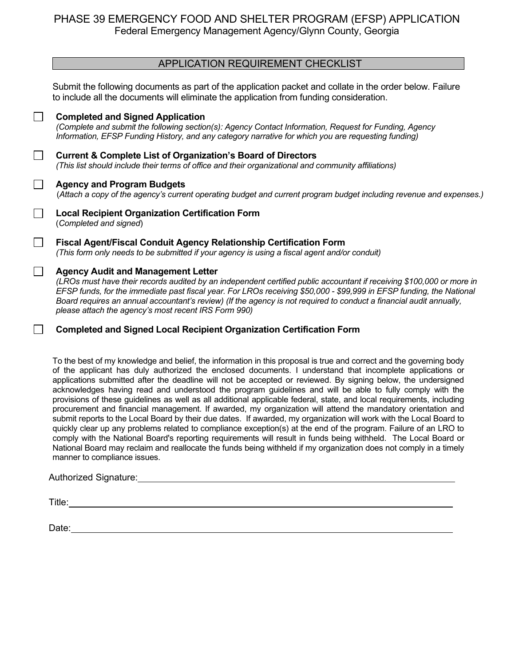### APPLICATION REQUIREMENT CHECKLIST

Submit the following documents as part of the application packet and collate in the order below. Failure to include all the documents will eliminate the application from funding consideration.

|        | <b>Completed and Signed Application</b><br>(Complete and submit the following section(s): Agency Contact Information, Request for Funding, Agency<br>Information, EFSP Funding History, and any category narrative for which you are requesting funding)                                                                                                                                                                                                                  |
|--------|---------------------------------------------------------------------------------------------------------------------------------------------------------------------------------------------------------------------------------------------------------------------------------------------------------------------------------------------------------------------------------------------------------------------------------------------------------------------------|
|        | <b>Current &amp; Complete List of Organization's Board of Directors</b><br>(This list should include their terms of office and their organizational and community affiliations)                                                                                                                                                                                                                                                                                           |
|        | <b>Agency and Program Budgets</b><br>(Attach a copy of the agency's current operating budget and current program budget including revenue and expenses.)                                                                                                                                                                                                                                                                                                                  |
|        | <b>Local Recipient Organization Certification Form</b><br>(Completed and signed)                                                                                                                                                                                                                                                                                                                                                                                          |
|        | Fiscal Agent/Fiscal Conduit Agency Relationship Certification Form<br>(This form only needs to be submitted if your agency is using a fiscal agent and/or conduit)                                                                                                                                                                                                                                                                                                        |
| $\Box$ | <b>Agency Audit and Management Letter</b><br>(LROs must have their records audited by an independent certified public accountant if receiving \$100,000 or more in<br>EFSP funds, for the immediate past fiscal year. For LROs receiving \$50,000 - \$99,999 in EFSP funding, the National<br>Board requires an annual accountant's review) (If the agency is not required to conduct a financial audit annually,<br>please attach the agency's most recent IRS Form 990) |
|        | <b>Completed and Signed Local Recipient Organization Certification Form</b>                                                                                                                                                                                                                                                                                                                                                                                               |

To the best of my knowledge and belief, the information in this proposal is true and correct and the governing body of the applicant has duly authorized the enclosed documents. I understand that incomplete applications or applications submitted after the deadline will not be accepted or reviewed. By signing below, the undersigned acknowledges having read and understood the program guidelines and will be able to fully comply with the provisions of these guidelines as well as all additional applicable federal, state, and local requirements, including procurement and financial management. If awarded, my organization will attend the mandatory orientation and submit reports to the Local Board by their due dates. If awarded, my organization will work with the Local Board to quickly clear up any problems related to compliance exception(s) at the end of the program. Failure of an LRO to comply with the National Board's reporting requirements will result in funds being withheld. The Local Board or National Board may reclaim and reallocate the funds being withheld if my organization does not comply in a timely manner to compliance issues.

#### Authorized Signature:

Title: **The Community of the Community of the Community of the Community of the Community of the Community of the Community of the Community of the Community of the Community of the Community of the Community of the Commun** 

Date: with the contract of the contract of the contract of the contract of the contract of the contract of the contract of the contract of the contract of the contract of the contract of the contract of the contract of the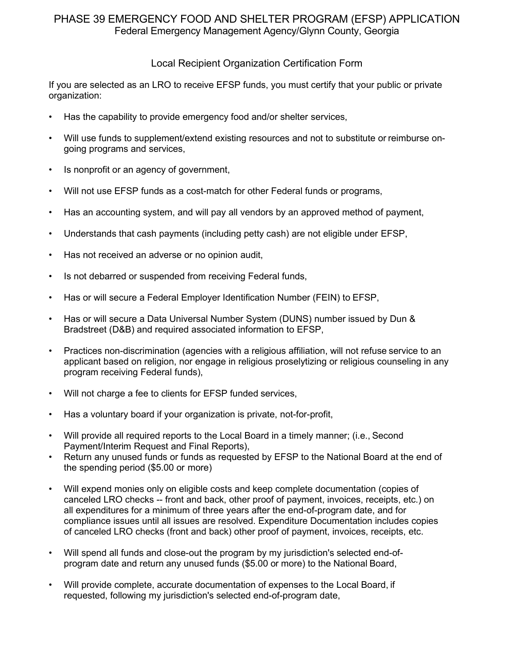### Local Recipient Organization Certification Form

If you are selected as an LRO to receive EFSP funds, you must certify that your public or private organization:

- Has the capability to provide emergency food and/or shelter services,
- Will use funds to supplement/extend existing resources and not to substitute or reimburse ongoing programs and services,
- Is nonprofit or an agency of government,
- Will not use EFSP funds as a cost-match for other Federal funds or programs,
- Has an accounting system, and will pay all vendors by an approved method of payment,
- Understands that cash payments (including petty cash) are not eligible under EFSP,
- Has not received an adverse or no opinion audit,
- Is not debarred or suspended from receiving Federal funds,
- Has or will secure a Federal Employer Identification Number (FEIN) to EFSP,
- Has or will secure a Data Universal Number System (DUNS) number issued by Dun & Bradstreet (D&B) and required associated information to EFSP,
- Practices non-discrimination (agencies with a religious affiliation, will not refuse service to an applicant based on religion, nor engage in religious proselytizing or religious counseling in any program receiving Federal funds),
- Will not charge a fee to clients for EFSP funded services,
- Has a voluntary board if your organization is private, not-for-profit,
- Will provide all required reports to the Local Board in a timely manner; (i.e., Second Payment/Interim Request and Final Reports),
- Return any unused funds or funds as requested by EFSP to the National Board at the end of the spending period (\$5.00 or more)
- Will expend monies only on eligible costs and keep complete documentation (copies of canceled LRO checks -- front and back, other proof of payment, invoices, receipts, etc.) on all expenditures for a minimum of three years after the end-of-program date, and for compliance issues until all issues are resolved. Expenditure Documentation includes copies of canceled LRO checks (front and back) other proof of payment, invoices, receipts, etc.
- Will spend all funds and close-out the program by my jurisdiction's selected end-ofprogram date and return any unused funds (\$5.00 or more) to the National Board,
- Will provide complete, accurate documentation of expenses to the Local Board, if requested, following my jurisdiction's selected end-of-program date,